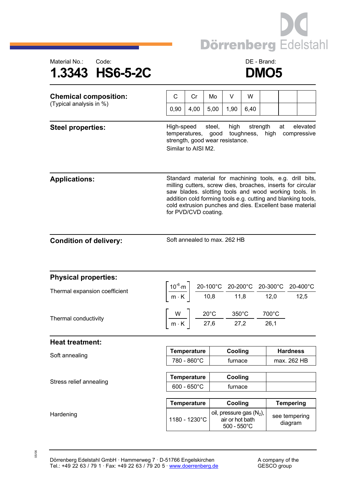



| <b>Chemical composition:</b>  | C                                                                                                                                                                                                                                                                                                                                   | Cr                                                                                                                   | Mo   | V                                                                                | W    |  |                                |  |  |
|-------------------------------|-------------------------------------------------------------------------------------------------------------------------------------------------------------------------------------------------------------------------------------------------------------------------------------------------------------------------------------|----------------------------------------------------------------------------------------------------------------------|------|----------------------------------------------------------------------------------|------|--|--------------------------------|--|--|
| (Typical analysis in %)       | 0,90                                                                                                                                                                                                                                                                                                                                | 4,00                                                                                                                 | 5,00 | 1,90                                                                             | 6,40 |  |                                |  |  |
| <b>Steel properties:</b>      | High-speed<br>steel,<br>high<br>strength<br>at<br>elevated<br>toughness,<br>temperatures,<br>good<br>high<br>compressive<br>strength, good wear resistance.<br>Similar to AISI M2.                                                                                                                                                  |                                                                                                                      |      |                                                                                  |      |  |                                |  |  |
| <b>Applications:</b>          | Standard material for machining tools, e.g. drill bits,<br>milling cutters, screw dies, broaches, inserts for circular<br>saw blades. slotting tools and wood working tools. In<br>addition cold forming tools e.g. cutting and blanking tools,<br>cold extrusion punches and dies. Excellent base material<br>for PVD/CVD coating. |                                                                                                                      |      |                                                                                  |      |  |                                |  |  |
| <b>Condition of delivery:</b> | Soft annealed to max. 262 HB                                                                                                                                                                                                                                                                                                        |                                                                                                                      |      |                                                                                  |      |  |                                |  |  |
| <b>Physical properties:</b>   |                                                                                                                                                                                                                                                                                                                                     |                                                                                                                      |      |                                                                                  |      |  |                                |  |  |
| Thermal expansion coefficient | $\left[\frac{10^{-6}\text{ m}}{\text{m} \cdot \text{K}}\right] \frac{\text{20-100}^{\circ}\text{C}}{\text{10,8}} \frac{\text{20-200}^{\circ}\text{C}}{\text{11,8}} \frac{\text{20-300}^{\circ}\text{C}}{\text{12,0}} \frac{\text{20-400}^{\circ}\text{C}}{\text{12,5}}$                                                             |                                                                                                                      |      |                                                                                  |      |  |                                |  |  |
| Thermal conductivity          |                                                                                                                                                                                                                                                                                                                                     | $\left[\frac{W}{m\cdot K}\right]$ $\frac{20^{\circ}C}{27,6}$ $\frac{350^{\circ}C}{27,2}$ $\frac{700^{\circ}C}{26,1}$ |      |                                                                                  |      |  |                                |  |  |
| <b>Heat treatment:</b>        |                                                                                                                                                                                                                                                                                                                                     |                                                                                                                      |      |                                                                                  |      |  |                                |  |  |
| Soft annealing                | <b>Temperature</b><br>780 - 860°C                                                                                                                                                                                                                                                                                                   |                                                                                                                      |      | <b>Cooling</b><br>furnace                                                        |      |  | <b>Hardness</b><br>max. 262 HB |  |  |
|                               |                                                                                                                                                                                                                                                                                                                                     |                                                                                                                      |      |                                                                                  |      |  |                                |  |  |
| Stress relief annealing       | <b>Temperature</b><br>$600 - 650^{\circ}$ C                                                                                                                                                                                                                                                                                         |                                                                                                                      |      | Cooling<br>furnace                                                               |      |  |                                |  |  |
|                               | <b>Temperature</b>                                                                                                                                                                                                                                                                                                                  |                                                                                                                      |      | Cooling                                                                          |      |  | <b>Tempering</b>               |  |  |
| Hardening                     | 1180 - 1230°C                                                                                                                                                                                                                                                                                                                       |                                                                                                                      |      | oil, pressure gas (N <sub>2</sub> ),<br>air or hot bath<br>$500 - 550^{\circ}$ C |      |  | see tempering<br>diagram       |  |  |